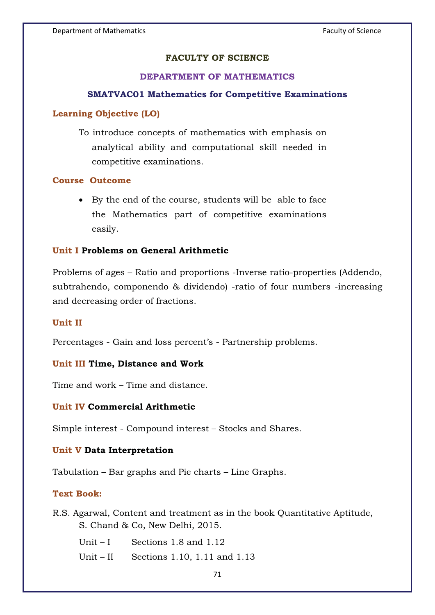# **FACULTY OF SCIENCE**

# **DEPARTMENT OF MATHEMATICS**

#### **SMATVAC01 Mathematics for Competitive Examinations**

## **Learning Objective (LO)**

To introduce concepts of mathematics with emphasis on analytical ability and computational skill needed in competitive examinations.

## **Course Outcome**

- By the end of the course, students will be able to face the Mathematics part of competitive examinations easily.

## **Unit I Problems on General Arithmetic**

Problems of ages – Ratio and proportions -Inverse ratio-properties (Addendo, subtrahendo, componendo & dividendo) -ratio of four numbers -increasing and decreasing order of fractions.

#### **Unit II**

Percentages - Gain and loss percent's - Partnership problems.

#### **Unit III Time, Distance and Work**

Time and work – Time and distance.

#### **Unit IV Commercial Arithmetic**

Simple interest - Compound interest – Stocks and Shares.

#### **Unit V Data Interpretation**

Tabulation – Bar graphs and Pie charts – Line Graphs.

#### **Text Book:**

R.S. Agarwal, Content and treatment as in the book Quantitative Aptitude, S. Chand & Co, New Delhi, 2015.

Unit – I Sections 1.8 and 1.12

Unit – II Sections 1.10, 1.11 and 1.13